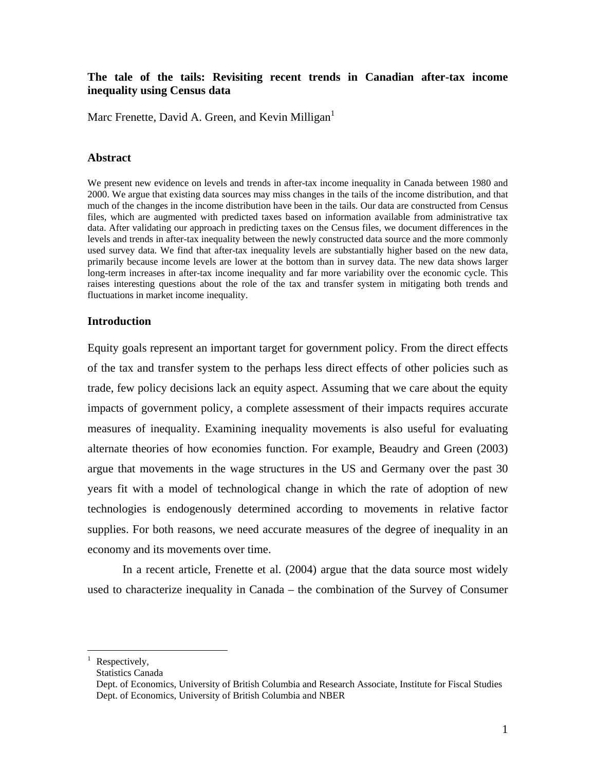# **The tale of the tails: Revisiting recent trends in Canadian after-tax income inequality using Census data**

Marc Frenette, David A. Green, and Kevin Milligan<sup>[1](#page-0-0)</sup>

# **Abstract**

We present new evidence on levels and trends in after-tax income inequality in Canada between 1980 and 2000. We argue that existing data sources may miss changes in the tails of the income distribution, and that much of the changes in the income distribution have been in the tails. Our data are constructed from Census files, which are augmented with predicted taxes based on information available from administrative tax data. After validating our approach in predicting taxes on the Census files, we document differences in the levels and trends in after-tax inequality between the newly constructed data source and the more commonly used survey data. We find that after-tax inequality levels are substantially higher based on the new data, primarily because income levels are lower at the bottom than in survey data. The new data shows larger long-term increases in after-tax income inequality and far more variability over the economic cycle. This raises interesting questions about the role of the tax and transfer system in mitigating both trends and fluctuations in market income inequality.

### **Introduction**

Equity goals represent an important target for government policy. From the direct effects of the tax and transfer system to the perhaps less direct effects of other policies such as trade, few policy decisions lack an equity aspect. Assuming that we care about the equity impacts of government policy, a complete assessment of their impacts requires accurate measures of inequality. Examining inequality movements is also useful for evaluating alternate theories of how economies function. For example, Beaudry and Green (2003) argue that movements in the wage structures in the US and Germany over the past 30 years fit with a model of technological change in which the rate of adoption of new technologies is endogenously determined according to movements in relative factor supplies. For both reasons, we need accurate measures of the degree of inequality in an economy and its movements over time.

In a recent article, Frenette et al. (2004) argue that the data source most widely used to characterize inequality in Canada – the combination of the Survey of Consumer

Statistics Canada

<span id="page-0-0"></span> $\frac{1}{1}$ Respectively,

Dept. of Economics, University of British Columbia and Research Associate, Institute for Fiscal Studies Dept. of Economics, University of British Columbia and NBER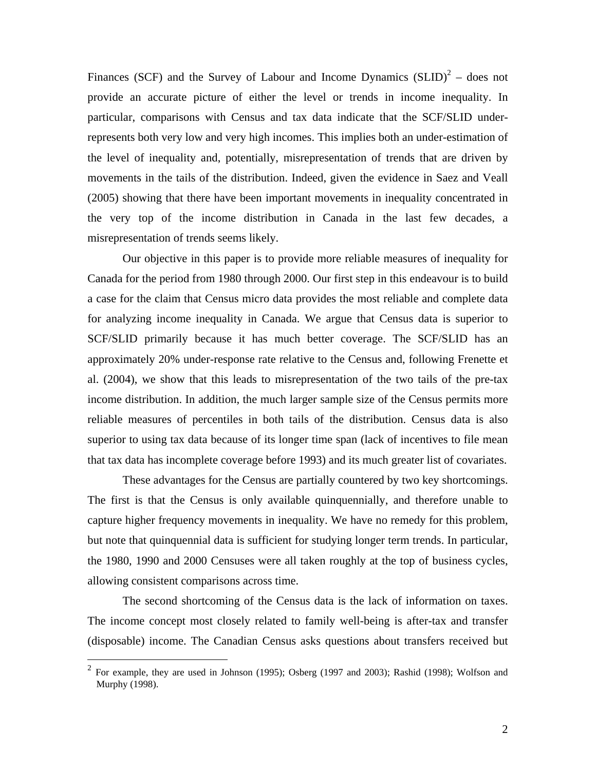Finances(SCF) and the Survey of Labour and Income Dynamics  $(SLID)^2$  – does not provide an accurate picture of either the level or trends in income inequality. In particular, comparisons with Census and tax data indicate that the SCF/SLID underrepresents both very low and very high incomes. This implies both an under-estimation of the level of inequality and, potentially, misrepresentation of trends that are driven by movements in the tails of the distribution. Indeed, given the evidence in Saez and Veall (2005) showing that there have been important movements in inequality concentrated in the very top of the income distribution in Canada in the last few decades, a misrepresentation of trends seems likely.

Our objective in this paper is to provide more reliable measures of inequality for Canada for the period from 1980 through 2000. Our first step in this endeavour is to build a case for the claim that Census micro data provides the most reliable and complete data for analyzing income inequality in Canada. We argue that Census data is superior to SCF/SLID primarily because it has much better coverage. The SCF/SLID has an approximately 20% under-response rate relative to the Census and, following Frenette et al. (2004), we show that this leads to misrepresentation of the two tails of the pre-tax income distribution. In addition, the much larger sample size of the Census permits more reliable measures of percentiles in both tails of the distribution. Census data is also superior to using tax data because of its longer time span (lack of incentives to file mean that tax data has incomplete coverage before 1993) and its much greater list of covariates.

These advantages for the Census are partially countered by two key shortcomings. The first is that the Census is only available quinquennially, and therefore unable to capture higher frequency movements in inequality. We have no remedy for this problem, but note that quinquennial data is sufficient for studying longer term trends. In particular, the 1980, 1990 and 2000 Censuses were all taken roughly at the top of business cycles, allowing consistent comparisons across time.

The second shortcoming of the Census data is the lack of information on taxes. The income concept most closely related to family well-being is after-tax and transfer (disposable) income. The Canadian Census asks questions about transfers received but

<span id="page-1-0"></span> <sup>2</sup> For example, they are used in Johnson (1995); Osberg (1997 and 2003); Rashid (1998); Wolfson and Murphy (1998).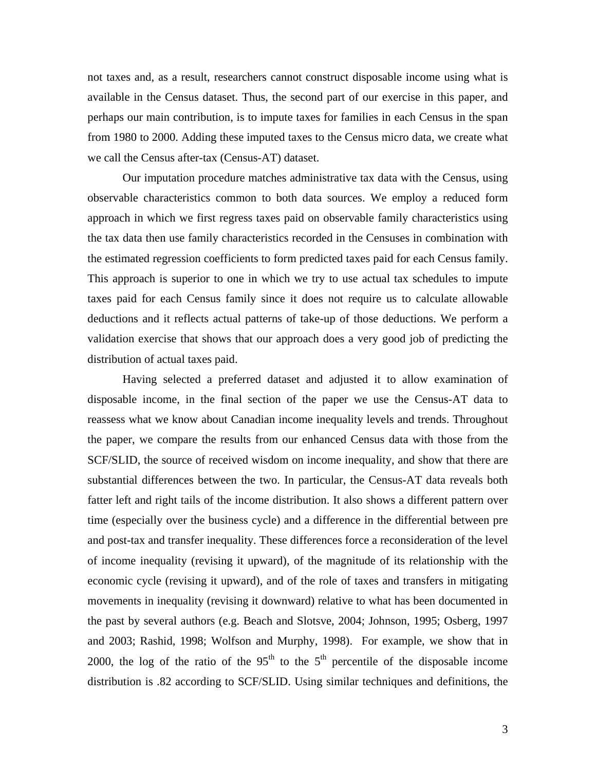not taxes and, as a result, researchers cannot construct disposable income using what is available in the Census dataset. Thus, the second part of our exercise in this paper, and perhaps our main contribution, is to impute taxes for families in each Census in the span from 1980 to 2000. Adding these imputed taxes to the Census micro data, we create what we call the Census after-tax (Census-AT) dataset.

Our imputation procedure matches administrative tax data with the Census, using observable characteristics common to both data sources. We employ a reduced form approach in which we first regress taxes paid on observable family characteristics using the tax data then use family characteristics recorded in the Censuses in combination with the estimated regression coefficients to form predicted taxes paid for each Census family. This approach is superior to one in which we try to use actual tax schedules to impute taxes paid for each Census family since it does not require us to calculate allowable deductions and it reflects actual patterns of take-up of those deductions. We perform a validation exercise that shows that our approach does a very good job of predicting the distribution of actual taxes paid.

Having selected a preferred dataset and adjusted it to allow examination of disposable income, in the final section of the paper we use the Census-AT data to reassess what we know about Canadian income inequality levels and trends. Throughout the paper, we compare the results from our enhanced Census data with those from the SCF/SLID, the source of received wisdom on income inequality, and show that there are substantial differences between the two. In particular, the Census-AT data reveals both fatter left and right tails of the income distribution. It also shows a different pattern over time (especially over the business cycle) and a difference in the differential between pre and post-tax and transfer inequality. These differences force a reconsideration of the level of income inequality (revising it upward), of the magnitude of its relationship with the economic cycle (revising it upward), and of the role of taxes and transfers in mitigating movements in inequality (revising it downward) relative to what has been documented in the past by several authors (e.g. Beach and Slotsve, 2004; Johnson, 1995; Osberg, 1997 and 2003; Rashid, 1998; Wolfson and Murphy, 1998). For example, we show that in 2000, the log of the ratio of the  $95<sup>th</sup>$  to the  $5<sup>th</sup>$  percentile of the disposable income distribution is .82 according to SCF/SLID. Using similar techniques and definitions, the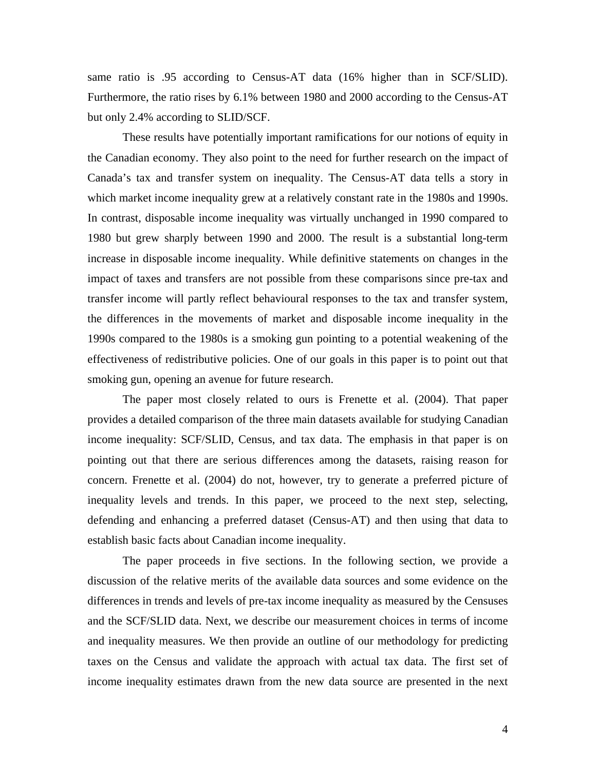same ratio is .95 according to Census-AT data (16% higher than in SCF/SLID). Furthermore, the ratio rises by 6.1% between 1980 and 2000 according to the Census-AT but only 2.4% according to SLID/SCF.

These results have potentially important ramifications for our notions of equity in the Canadian economy. They also point to the need for further research on the impact of Canada's tax and transfer system on inequality. The Census-AT data tells a story in which market income inequality grew at a relatively constant rate in the 1980s and 1990s. In contrast, disposable income inequality was virtually unchanged in 1990 compared to 1980 but grew sharply between 1990 and 2000. The result is a substantial long-term increase in disposable income inequality. While definitive statements on changes in the impact of taxes and transfers are not possible from these comparisons since pre-tax and transfer income will partly reflect behavioural responses to the tax and transfer system, the differences in the movements of market and disposable income inequality in the 1990s compared to the 1980s is a smoking gun pointing to a potential weakening of the effectiveness of redistributive policies. One of our goals in this paper is to point out that smoking gun, opening an avenue for future research.

The paper most closely related to ours is Frenette et al. (2004). That paper provides a detailed comparison of the three main datasets available for studying Canadian income inequality: SCF/SLID, Census, and tax data. The emphasis in that paper is on pointing out that there are serious differences among the datasets, raising reason for concern. Frenette et al. (2004) do not, however, try to generate a preferred picture of inequality levels and trends. In this paper, we proceed to the next step, selecting, defending and enhancing a preferred dataset (Census-AT) and then using that data to establish basic facts about Canadian income inequality.

The paper proceeds in five sections. In the following section, we provide a discussion of the relative merits of the available data sources and some evidence on the differences in trends and levels of pre-tax income inequality as measured by the Censuses and the SCF/SLID data. Next, we describe our measurement choices in terms of income and inequality measures. We then provide an outline of our methodology for predicting taxes on the Census and validate the approach with actual tax data. The first set of income inequality estimates drawn from the new data source are presented in the next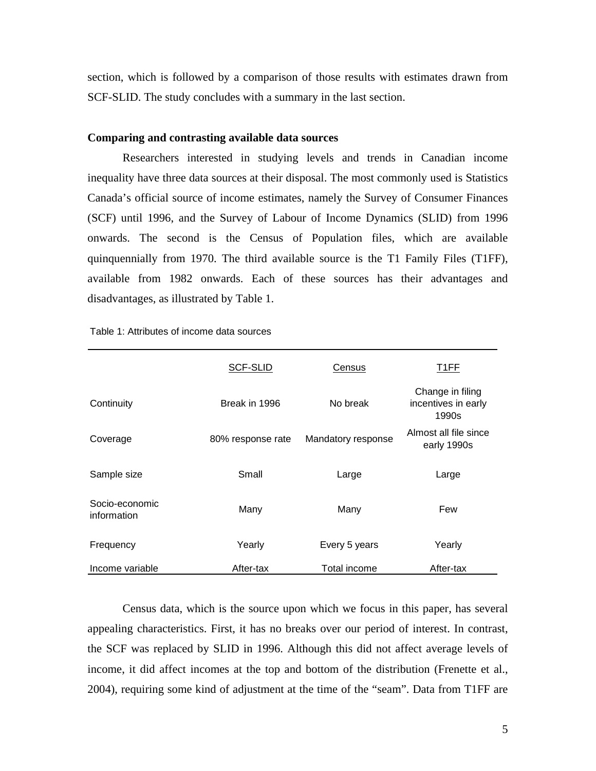section, which is followed by a comparison of those results with estimates drawn from SCF-SLID. The study concludes with a summary in the last section.

## **Comparing and contrasting available data sources**

Researchers interested in studying levels and trends in Canadian income inequality have three data sources at their disposal. The most commonly used is Statistics Canada's official source of income estimates, namely the Survey of Consumer Finances (SCF) until 1996, and the Survey of Labour of Income Dynamics (SLID) from 1996 onwards. The second is the Census of Population files, which are available quinquennially from 1970. The third available source is the T1 Family Files (T1FF), available from 1982 onwards. Each of these sources has their advantages and disadvantages, as illustrated by Table 1.

|                               | <b>SCF-SLID</b>   | Census             |                                                  |
|-------------------------------|-------------------|--------------------|--------------------------------------------------|
| Continuity                    | Break in 1996     | No break           | Change in filing<br>incentives in early<br>1990s |
| Coverage                      | 80% response rate | Mandatory response | Almost all file since<br>early 1990s             |
| Sample size                   | Small             | Large              | Large                                            |
| Socio-economic<br>information | Many              | Many               | Few                                              |
| Frequency                     | Yearly            | Every 5 years      | Yearly                                           |
| Income variable               | After-tax         | Total income       | After-tax                                        |

Table 1: Attributes of income data sources

Census data, which is the source upon which we focus in this paper, has several appealing characteristics. First, it has no breaks over our period of interest. In contrast, the SCF was replaced by SLID in 1996. Although this did not affect average levels of income, it did affect incomes at the top and bottom of the distribution (Frenette et al., 2004), requiring some kind of adjustment at the time of the "seam". Data from T1FF are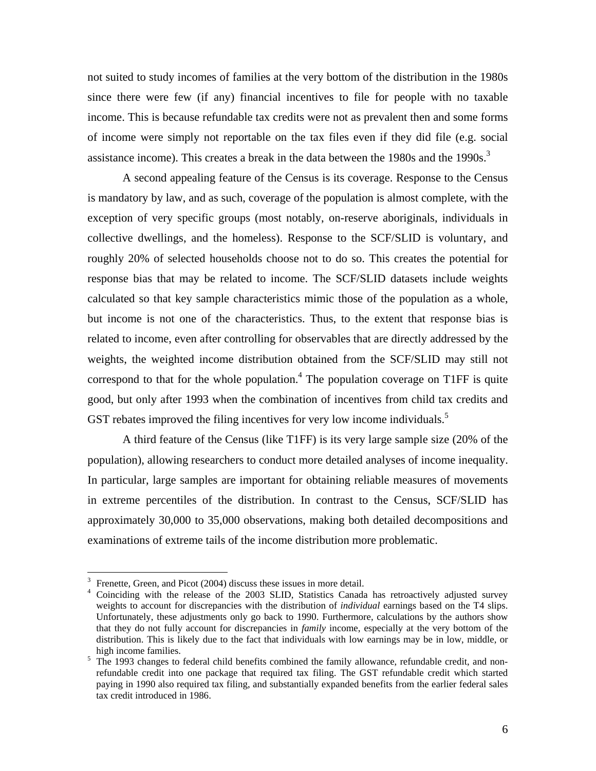not suited to study incomes of families at the very bottom of the distribution in the 1980s since there were few (if any) financial incentives to file for people with no taxable income. This is because refundable tax credits were not as prevalent then and some forms of income were simply not reportable on the tax files even if they did file (e.g. social assistance income). This creates a break in the data between the 1980s and the 1990s.<sup>[3](#page-5-0)</sup>

A second appealing feature of the Census is its coverage. Response to the Census is mandatory by law, and as such, coverage of the population is almost complete, with the exception of very specific groups (most notably, on-reserve aboriginals, individuals in collective dwellings, and the homeless). Response to the SCF/SLID is voluntary, and roughly 20% of selected households choose not to do so. This creates the potential for response bias that may be related to income. The SCF/SLID datasets include weights calculated so that key sample characteristics mimic those of the population as a whole, but income is not one of the characteristics. Thus, to the extent that response bias is related to income, even after controlling for observables that are directly addressed by the weights, the weighted income distribution obtained from the SCF/SLID may still not correspond to that for the whole population. $4$  The population coverage on T1FF is quite good, but only after 1993 when the combination of incentives from child tax credits and GST rebates improved the filing incentives for very low income individuals.<sup>[5](#page-5-2)</sup>

A third feature of the Census (like T1FF) is its very large sample size (20% of the population), allowing researchers to conduct more detailed analyses of income inequality. In particular, large samples are important for obtaining reliable measures of movements in extreme percentiles of the distribution. In contrast to the Census, SCF/SLID has approximately 30,000 to 35,000 observations, making both detailed decompositions and examinations of extreme tails of the income distribution more problematic.

 $\frac{1}{3}$ 

<span id="page-5-1"></span><span id="page-5-0"></span><sup>&</sup>lt;sup>3</sup> Frenette, Green, and Picot (2004) discuss these issues in more detail.<br><sup>4</sup> Coinciding with the release of the 2003 SLID, Statistics Canada has retroactively adjusted survey weights to account for discrepancies with the distribution of *individual* earnings based on the T4 slips. Unfortunately, these adjustments only go back to 1990. Furthermore, calculations by the authors show that they do not fully account for discrepancies in *family* income, especially at the very bottom of the distribution. This is likely due to the fact that individuals with low earnings may be in low, middle, or high income families.<br><sup>5</sup> The 1993 changes to federal child benefits combined the family allowance, refundable credit, and non-

<span id="page-5-2"></span>refundable credit into one package that required tax filing. The GST refundable credit which started paying in 1990 also required tax filing, and substantially expanded benefits from the earlier federal sales tax credit introduced in 1986.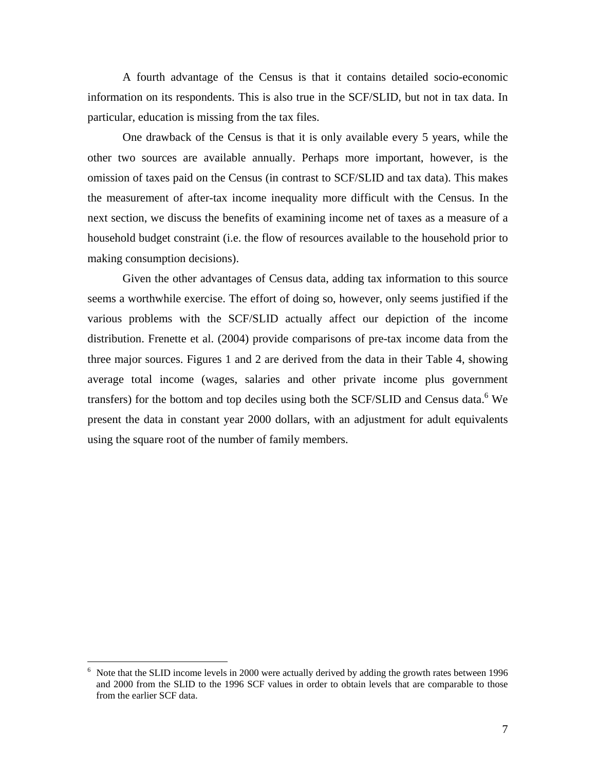A fourth advantage of the Census is that it contains detailed socio-economic information on its respondents. This is also true in the SCF/SLID, but not in tax data. In particular, education is missing from the tax files.

One drawback of the Census is that it is only available every 5 years, while the other two sources are available annually. Perhaps more important, however, is the omission of taxes paid on the Census (in contrast to SCF/SLID and tax data). This makes the measurement of after-tax income inequality more difficult with the Census. In the next section, we discuss the benefits of examining income net of taxes as a measure of a household budget constraint (i.e. the flow of resources available to the household prior to making consumption decisions).

Given the other advantages of Census data, adding tax information to this source seems a worthwhile exercise. The effort of doing so, however, only seems justified if the various problems with the SCF/SLID actually affect our depiction of the income distribution. Frenette et al. (2004) provide comparisons of pre-tax income data from the three major sources. Figures 1 and 2 are derived from the data in their Table 4, showing average total income (wages, salaries and other private income plus government transfers) for the bottom and top deciles using both the SCF/SLID and Census data.<sup>[6](#page-6-0)</sup> We present the data in constant year 2000 dollars, with an adjustment for adult equivalents using the square root of the number of family members.

<span id="page-6-0"></span> $\frac{1}{6}$  Note that the SLID income levels in 2000 were actually derived by adding the growth rates between 1996 and 2000 from the SLID to the 1996 SCF values in order to obtain levels that are comparable to those from the earlier SCF data.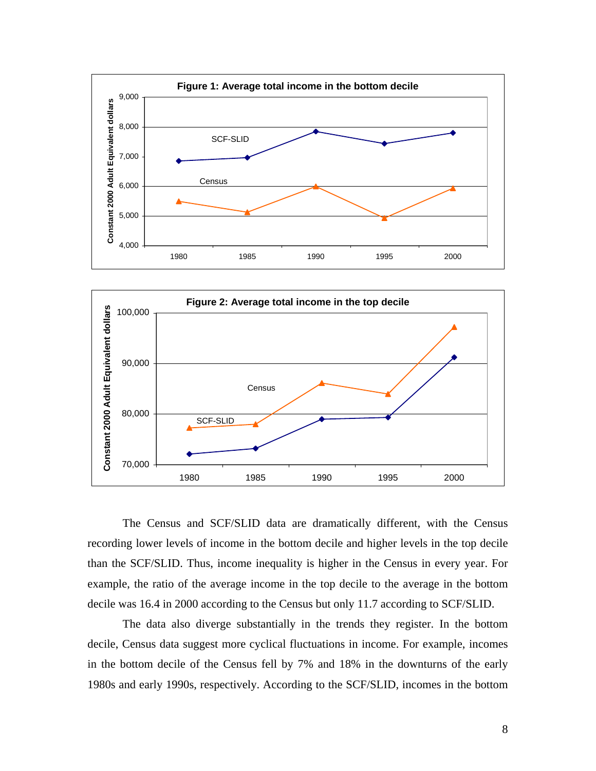



The Census and SCF/SLID data are dramatically different, with the Census recording lower levels of income in the bottom decile and higher levels in the top decile than the SCF/SLID. Thus, income inequality is higher in the Census in every year. For example, the ratio of the average income in the top decile to the average in the bottom decile was 16.4 in 2000 according to the Census but only 11.7 according to SCF/SLID.

The data also diverge substantially in the trends they register. In the bottom decile, Census data suggest more cyclical fluctuations in income. For example, incomes in the bottom decile of the Census fell by 7% and 18% in the downturns of the early 1980s and early 1990s, respectively. According to the SCF/SLID, incomes in the bottom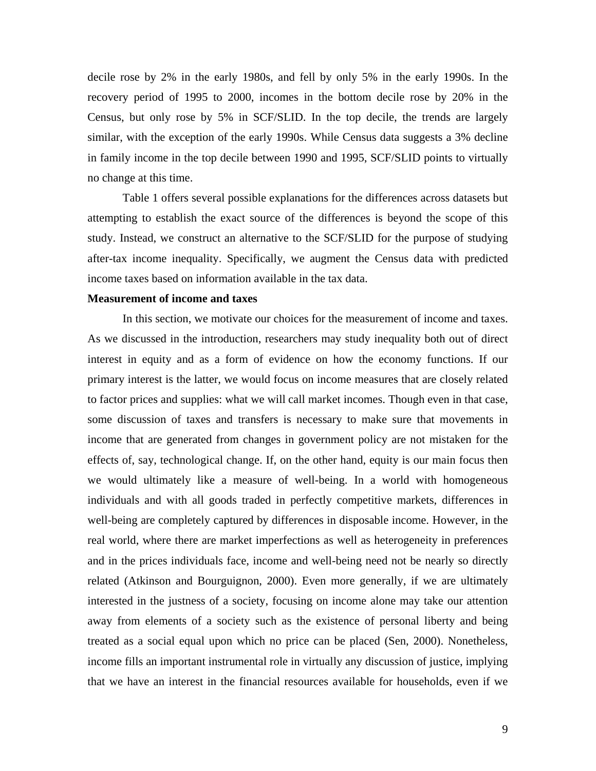decile rose by 2% in the early 1980s, and fell by only 5% in the early 1990s. In the recovery period of 1995 to 2000, incomes in the bottom decile rose by 20% in the Census, but only rose by 5% in SCF/SLID. In the top decile, the trends are largely similar, with the exception of the early 1990s. While Census data suggests a 3% decline in family income in the top decile between 1990 and 1995, SCF/SLID points to virtually no change at this time.

Table 1 offers several possible explanations for the differences across datasets but attempting to establish the exact source of the differences is beyond the scope of this study. Instead, we construct an alternative to the SCF/SLID for the purpose of studying after-tax income inequality. Specifically, we augment the Census data with predicted income taxes based on information available in the tax data.

#### **Measurement of income and taxes**

In this section, we motivate our choices for the measurement of income and taxes. As we discussed in the introduction, researchers may study inequality both out of direct interest in equity and as a form of evidence on how the economy functions. If our primary interest is the latter, we would focus on income measures that are closely related to factor prices and supplies: what we will call market incomes. Though even in that case, some discussion of taxes and transfers is necessary to make sure that movements in income that are generated from changes in government policy are not mistaken for the effects of, say, technological change. If, on the other hand, equity is our main focus then we would ultimately like a measure of well-being. In a world with homogeneous individuals and with all goods traded in perfectly competitive markets, differences in well-being are completely captured by differences in disposable income. However, in the real world, where there are market imperfections as well as heterogeneity in preferences and in the prices individuals face, income and well-being need not be nearly so directly related (Atkinson and Bourguignon, 2000). Even more generally, if we are ultimately interested in the justness of a society, focusing on income alone may take our attention away from elements of a society such as the existence of personal liberty and being treated as a social equal upon which no price can be placed (Sen, 2000). Nonetheless, income fills an important instrumental role in virtually any discussion of justice, implying that we have an interest in the financial resources available for households, even if we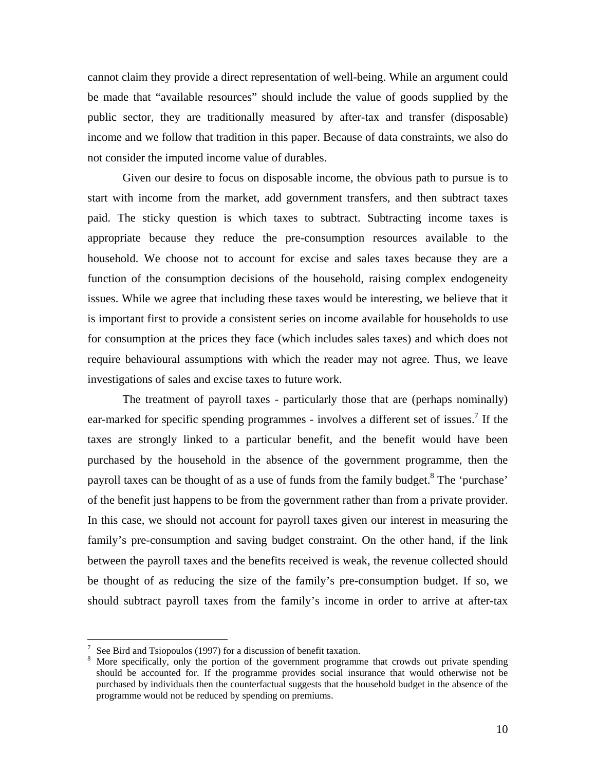cannot claim they provide a direct representation of well-being. While an argument could be made that "available resources" should include the value of goods supplied by the public sector, they are traditionally measured by after-tax and transfer (disposable) income and we follow that tradition in this paper. Because of data constraints, we also do not consider the imputed income value of durables.

Given our desire to focus on disposable income, the obvious path to pursue is to start with income from the market, add government transfers, and then subtract taxes paid. The sticky question is which taxes to subtract. Subtracting income taxes is appropriate because they reduce the pre-consumption resources available to the household. We choose not to account for excise and sales taxes because they are a function of the consumption decisions of the household, raising complex endogeneity issues. While we agree that including these taxes would be interesting, we believe that it is important first to provide a consistent series on income available for households to use for consumption at the prices they face (which includes sales taxes) and which does not require behavioural assumptions with which the reader may not agree. Thus, we leave investigations of sales and excise taxes to future work.

The treatment of payroll taxes - particularly those that are (perhaps no[min](#page-9-0)ally) ear-marked for specific spending programmes - involves a different set of issues.<sup>7</sup> If the taxes are strongly linked to a particular benefit, and the benefit would have been purchased by the household in the absence of the government progr[am](#page-9-1)me, then the payroll taxes can be thought of as a use of funds from the family budget.<sup>8</sup> The 'purchase' of the benefit just happens to be from the government rather than from a private provider. In this case, we should not account for payroll taxes given our interest in measuring the family's pre-consumption and saving budget constraint. On the other hand, if the link between the payroll taxes and the benefits received is weak, the revenue collected should be thought of as reducing the size of the family's pre-consumption budget. If so, we should subtract payroll taxes from the family's income in order to arrive at after-tax

 $\frac{1}{7}$ 

<span id="page-9-1"></span><span id="page-9-0"></span>See Bird and Tsiopoulos (1997) for a discussion of benefit taxation.<br>More specifically, only the portion of the government programme that crowds out private spending should be accounted for. If the programme provides social insurance that would otherwise not be purchased by individuals then the counterfactual suggests that the household budget in the absence of the programme would not be reduced by spending on premiums.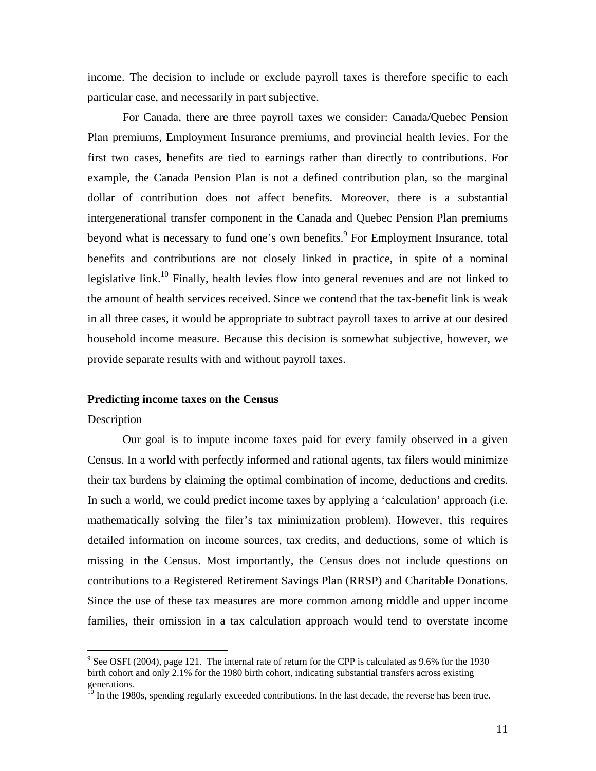income. The decision to include or exclude payroll taxes is therefore specific to each particular case, and necessarily in part subjective.

For Canada, there are three payroll taxes we consider: Canada/Quebec Pension Plan premiums, Employment Insurance premiums, and provincial health levies. For the first two cases, benefits are tied to earnings rather than directly to contributions. For example, the Canada Pension Plan is not a defined contribution plan, so the marginal dollar of contribution does not affect benefits. [M](#page-10-0)oreover, there is a substantial intergenerational transfer component in the Canada and Quebec Pension Plan premiums beyond what is [ne](#page-10-1)cessary to fund one's own benefits.<sup>9</sup> For Employment Insurance, total benefits and contributions are not closely linked in practice, in spite of a nominal legislative link.<sup>10</sup> Finally, health levies flow into general revenues and are not linked to the amount of health services received. Since we contend that the tax-benefit link is weak in all three cases, it would be appropriate to subtract payroll taxes to arrive at our desired household income measure. Because this decision is somewhat subjective, however, we provide separate results with and without payroll taxes.

# **Predicting income taxes on the Census**

## Description

Our goal is to impute income taxes paid for every family observed in a given Census. In a world with perfectly informed and rational agents, tax filers would minimize their tax burdens by claiming the optimal combination of income, deductions and credits. In such a world, we could predict income taxes by applying a 'calculation' approach (i.e. mathematically solving the filer's tax minimization problem). However, this requires detailed information on income sources, tax credits, and deductions, some of which is missing in the Census. Most importantly, the Census does not include questions on contributions to a Registered Retirement Savings Plan (RRSP) and Charitable Donations. Since the use of these tax measures are more common among middle and upper income families, their omission in a tax calculation approach would tend to overstate income

<span id="page-10-0"></span><sup>-&</sup>lt;br>9  $\degree$  See OSFI (2004), page 121. The internal rate of return for the CPP is calculated as 9.6% for the 1930 birth cohort and only 2.1% for the 1980 birth cohort, indicating substantial transfers across existing generations.<br><sup>10</sup> In the 1980s, spending regularly exceeded contributions. In the last decade, the reverse has been true.

<span id="page-10-1"></span>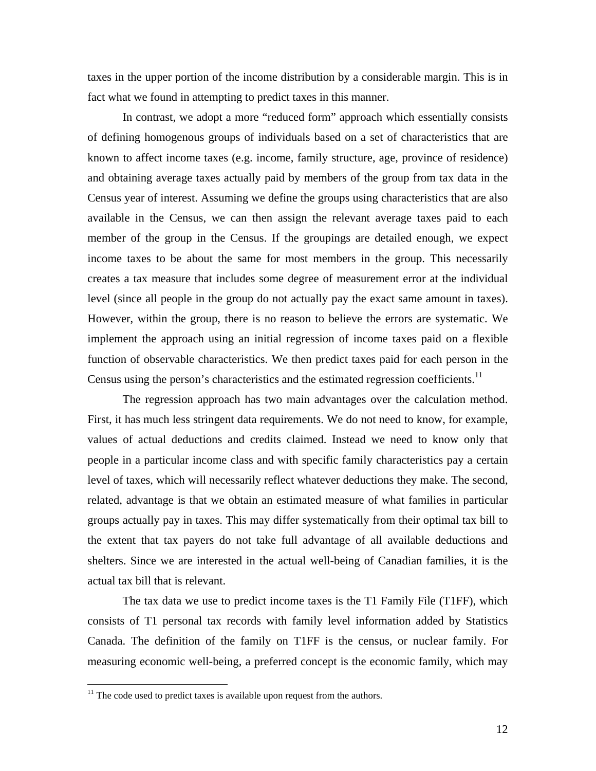taxes in the upper portion of the income distribution by a considerable margin. This is in fact what we found in attempting to predict taxes in this manner.

In contrast, we adopt a more "reduced form" approach which essentially consists of defining homogenous groups of individuals based on a set of characteristics that are known to affect income taxes (e.g. income, family structure, age, province of residence) and obtaining average taxes actually paid by members of the group from tax data in the Census year of interest. Assuming we define the groups using characteristics that are also available in the Census, we can then assign the relevant average taxes paid to each member of the group in the Census. If the groupings are detailed enough, we expect income taxes to be about the same for most members in the group. This necessarily creates a tax measure that includes some degree of measurement error at the individual level (since all people in the group do not actually pay the exact same amount in taxes). However, within the group, there is no reason to believe the errors are systematic. We implement the approach using an initial regression of income taxes paid on a [flex](#page-11-0)ible function of observable characteristics. We then predict taxes paid for each person in the Census using the person's characteristics and the estimated regression coefficients.<sup>11</sup>

The regression approach has two main advantages over the calculation method. First, it has much less stringent data requirements. We do not need to know, for example, values of actual deductions and credits claimed. Instead we need to know only that people in a particular income class and with specific family characteristics pay a certain level of taxes, which will necessarily reflect whatever deductions they make. The second, related, advantage is that we obtain an estimated measure of what families in particular groups actually pay in taxes. This may differ systematically from their optimal tax bill to the extent that tax payers do not take full advantage of all available deductions and shelters. Since we are interested in the actual well-being of Canadian families, it is the actual tax bill that is relevant.

The tax data we use to predict income taxes is the T1 Family File (T1FF), which consists of T1 personal tax records with family level information added by Statistics Canada. The definition of the family on T1FF is the census, or nuclear family. For measuring economic well-being, a preferred concept is the economic family, which may

<span id="page-11-0"></span> $11$  The code used to predict taxes is available upon request from the authors.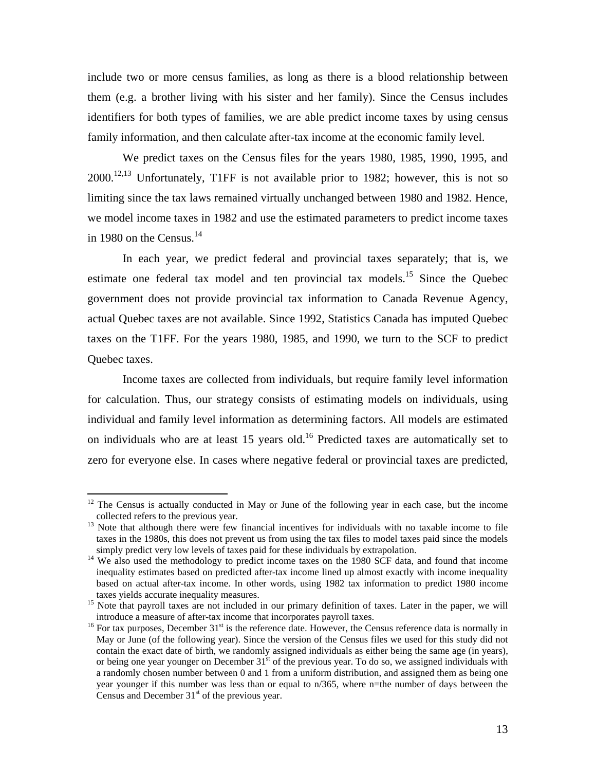include two or more census families, as long as there is a blood relationship between them (e.g. a brother living with his sister and her family). Since the Census includes identifiers for both types of families, we are able predict income taxes by using census famil[y i](#page-12-0)[nfo](#page-12-1)rmation, and then calculate after-tax income at the economic family level.

We predict taxes on the Census files for the years 1980, 1985, 1990, 1995, and  $2000$ <sup>12,13</sup> Unfortunately, T1FF is not available prior to 1982; however, this is not so limiting since the tax l[aw](#page-12-2)s remained virtually unchanged between 1980 and 1982. Hence, we model income taxes in 1982 and use the estimated parameters to predict income taxes in 1980 on the Census. $^{14}$ 

In each year, we predict federal and provincial taxes separately; that is, we estimate one federal tax model and ten provincial tax models.<sup>15</sup> Since the Quebec government does not provide provincial tax information to Canada Revenue Agency, actual Quebec taxes are not available. Since 1992, Statistics Canada has imputed Quebec taxes on the T1FF. For the years 1980, 1985, and 1990, we turn to the SCF to predict Quebec taxes.

Income taxes are collected from individuals, but require family level information for calculation. Thus, our strategy consists [of e](#page-12-3)stimating models on individuals, using individual and family level information as determining factors. All models are estimated on individuals who are at least 15 years old.<sup>16</sup> Predicted taxes are automatically set to zero for everyone else. In cases where negative federal or provincial taxes are predicted,

<span id="page-12-0"></span><sup>&</sup>lt;sup>12</sup> The Census is actually conducted in May or June of the following year in each case, but the income

<span id="page-12-1"></span>collected refers to the previous year.<br><sup>13</sup> Note that although there were few financial incentives for individuals with no taxable income to file taxes in the 1980s, this does not prevent us from using the tax files to model taxes paid since the models simply predict very low levels of taxes paid for these individuals by extrapolation. 14 We also used the methodology to predict income taxes on the 1980 SCF data, and found that income

<span id="page-12-2"></span>inequality estimates based on predicted after-tax income lined up almost exactly with income inequality based on actual after-tax income. In other words, using 1982 tax information to predict 1980 income

taxes yields accurate inequality measures.<br><sup>15</sup> Note that payroll taxes are not included in our primary definition of taxes. Later in the paper, we will introduce a measure of after-tax income that incorporates payroll taxes.<br><sup>16</sup> For tax purposes, December 31<sup>st</sup> is the reference date. However, the Census reference data is normally in

<span id="page-12-3"></span>May or June (of the following year). Since the version of the Census files we used for this study did not contain the exact date of birth, we randomly assigned individuals as either being the same age (in years), or being one year younger on December 31<sup>st</sup> of the previous year. To do so, we assigned individuals with a randomly chosen number between 0 and 1 from a uniform distribution, and assigned them as being one year younger if this number was less than or equal to n/365, where n=the number of days between the Census and December  $31<sup>st</sup>$  of the previous year.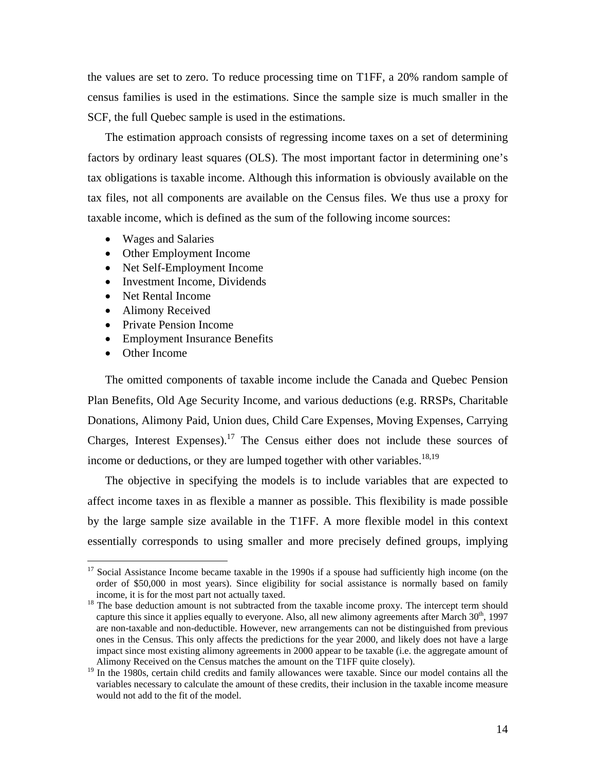the values are set to zero. To reduce processing time on T1FF, a 20% random sample of census families is used in the estimations. Since the sample size is much smaller in the SCF, the full Quebec sample is used in the estimations.

The estimation approach consists of regressing income taxes on a set of determining factors by ordinary least squares (OLS). The most important factor in determining one's tax obligations is taxable income. Although this information is obviously available on the tax files, not all components are available on the Census files. We thus use a proxy for taxable income, which is defined as the sum of the following income sources:

- Wages and Salaries
- Other Employment Income
- Net Self-Employment Income
- Investment Income, Dividends
- Net Rental Income
- Alimony Received
- Private Pension Income
- Employment Insurance Benefits
- Other Income

The omitted components of taxable income include the Canada and Quebec Pension Plan Benefits, Old Age Security Income, and various deductions (e.g. RRSPs, Charitable Donations, Alimony Paid, Un[ion](#page-13-0) dues, Child Care Expenses, Moving Expenses, Carrying Charges, Interest Expenses).<sup>17</sup> The Census either does not include [t](#page-13-1)[hes](#page-13-2)e sources of income or deductions, or they are lumped together with other variables.<sup>18,19</sup>

The objective in specifying the models is to include variables that are expected to affect income taxes in as flexible a manner as possible. This flexibility is made possible by the large sample size available in the T1FF. A more flexible model in this context essentially corresponds to using smaller and more precisely defined groups, implying

<span id="page-13-0"></span><sup>&</sup>lt;sup>17</sup> Social Assistance Income became taxable in the 1990s if a spouse had sufficiently high income (on the order of \$50,000 in most years). Since eligibility for social assistance is normally based on family

<span id="page-13-1"></span>is the base deduction amount is not subtracted from the taxable income proxy. The intercept term should <sup>18</sup> The base deduction amount is not subtracted from the taxable income proxy. The intercept term should capture this since it applies equally to everyone. Also, all new alimony agreements after March  $30<sup>th</sup>$ , 1997 are non-taxable and non-deductible. However, new arrangements can not be distinguished from previous ones in the Census. This only affects the predictions for the year 2000, and likely does not have a large impact since most existing alimony agreements in 2000 appear to be taxable (i.e. the aggregate amount of Alimony Received on the Census matches the amount on the T1FF quite closely).

<span id="page-13-2"></span><sup>&</sup>lt;sup>19</sup> In the 1980s, certain child credits and family allowances were taxable. Since our model contains all the variables necessary to calculate the amount of these credits, their inclusion in the taxable income measure would not add to the fit of the model.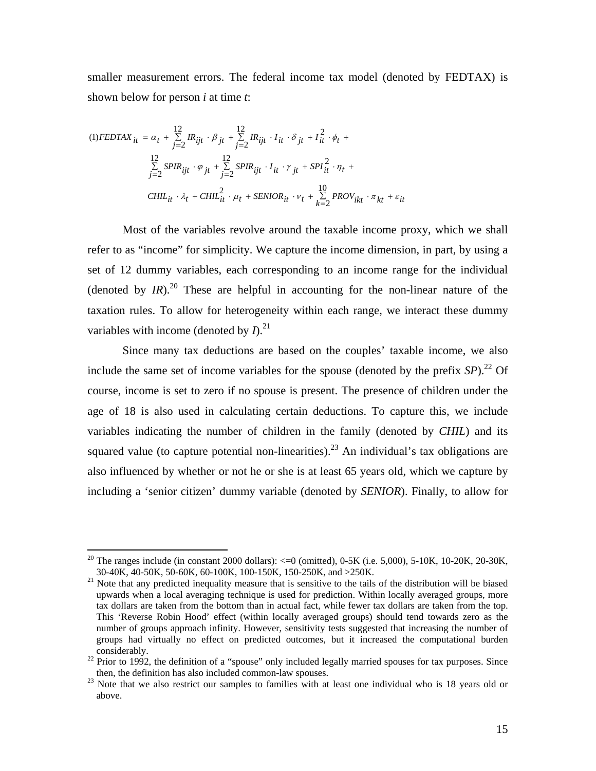smaller measurement errors. The federal income tax model (denoted by FEDTAX) is shown below for person *i* at time *t*:

$$
(1) FEDTAX_{it} = \alpha_t + \sum_{j=2}^{12} IR_{ijt} \cdot \beta_{jt} + \sum_{j=2}^{12} IR_{ijt} \cdot I_{it} \cdot \delta_{jt} + I_{it}^2 \cdot \phi_t +
$$
  

$$
\sum_{j=2}^{12} SPIR_{ijt} \cdot \varphi_{jt} + \sum_{j=2}^{12} SPIR_{ijt} \cdot I_{it} \cdot \gamma_{jt} + SPI_{it}^2 \cdot \eta_t +
$$
  

$$
CHIL_{it} \cdot \lambda_t + CHIL_{it}^2 \cdot \mu_t + SEMIOR_{it} \cdot \nu_t + \sum_{k=2}^{10} PROV_{ikt} \cdot \pi_{kt} + \varepsilon_{it}
$$

Most of the variables revolve around the taxable income proxy, which we shall refer to as "income" for simplicity. We capture the income dimension, in part, by using a set of 12 dummy variables, each corresponding to an income range for the individual (denoted by  $IR$ ).<sup>20</sup> These are helpful in accounting for the non-linear nature of the taxation rules. To allow for heterogeneity within each range, we interact these dummy variables with income (denoted by  $I^{21}$ ).

Since many tax deductions are based on the couples' taxable income, we also include the same set of income variables for the spouse (denoted by the prefix  $\mathfrak{S}_2P$ ).<sup>22</sup> Of course, income is set to zero if no spouse is present. The presence of children under the age of 18 is also used in calculating certain deductions. To capture this, we include variables indicating the number of children in the family (denoted by *CHIL*) and its squared value (to capture potential non-linearities).<sup>23</sup> An individual's tax obligations are also influenced by whether or not he or she is at least 65 years old, which we capture by including a 'senior citizen' dummy variable (denoted by *SENIOR*). Finally, to allow for

<span id="page-14-0"></span><sup>&</sup>lt;sup>20</sup> The ranges include (in constant 2000 dollars):  $\lt=0$  (omitted), 0-5K (i.e. 5,000), 5-10K, 10-20K, 20-30K, 30-40K, 40-50K, 60-100K, 100-150K, 150-250K, and  $>$ 250K.

<span id="page-14-1"></span> $31$  Note that any predicted inequality measure that is sensitive to the tails of the distribution will be biased upwards when a local averaging technique is used for prediction. Within locally averaged groups, more tax dollars are taken from the bottom than in actual fact, while fewer tax dollars are taken from the top. This 'Reverse Robin Hood' effect (within locally averaged groups) should tend towards zero as the number of groups approach infinity. However, sensitivity tests suggested that increasing the number of groups had virtually no effect on predicted outcomes, but it increased the computational burden

<span id="page-14-2"></span>considerably.<br><sup>22</sup> Prior to 1992, the definition of a "spouse" only included legally married spouses for tax purposes. Since then, the definition has also included common-law spouses.

<span id="page-14-3"></span> $t<sup>23</sup>$  Note that we also restrict our samples to families with at least one individual who is 18 years old or above.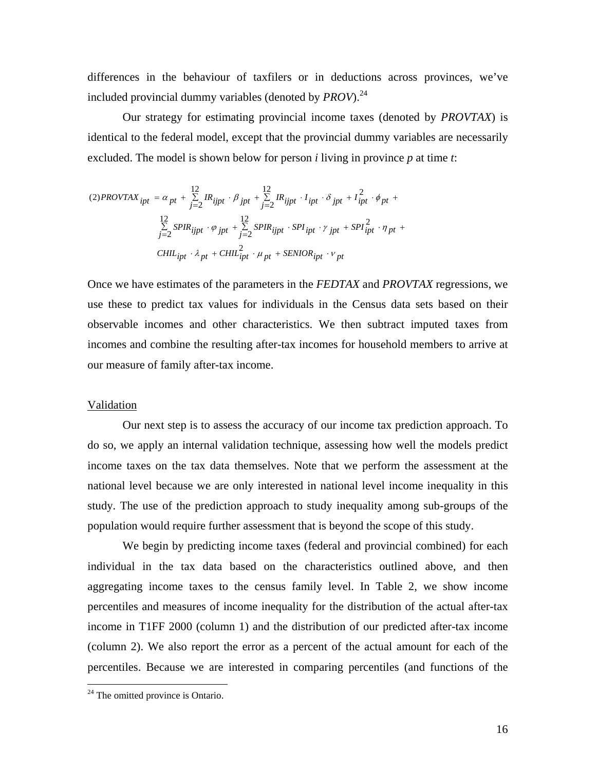differences in the behaviour of taxfilers or in deductions across provinces, we've included provincial dummy variables (denoted by *PROV*).[24](#page-15-0) 

Our strategy for estimating provincial income taxes (denoted by *PROVTAX*) is identical to the federal model, except that the provincial dummy variables are necessarily excluded. The model is shown below for person *i* living in province *p* at time *t*:

$$
(2) PROVTAX_{ipt} = \alpha_{pt} + \sum_{j=2}^{12} IR_{ijpt} \cdot \beta_{jpt} + \sum_{j=2}^{12} IR_{ijpt} \cdot I_{ipt} \cdot \delta_{jpt} + I_{ipt}^2 \cdot \phi_{pt} +
$$
  

$$
\sum_{j=2}^{12} SPIR_{ijpt} \cdot \varphi_{jpt} + \sum_{j=2}^{12} SPIR_{ijpt} \cdot SPI_{ipt} \cdot \gamma_{jpt} + SPI_{ipt}^2 \cdot \eta_{pt} +
$$
  

$$
CHIL_{ipt} \cdot \lambda_{pt} + CHIL_{ipt}^2 \cdot \mu_{pt} + SENIOR_{ipt} \cdot \nu_{pt}
$$

Once we have estimates of the parameters in the *FEDTAX* and *PROVTAX* regressions, we use these to predict tax values for individuals in the Census data sets based on their observable incomes and other characteristics. We then subtract imputed taxes from incomes and combine the resulting after-tax incomes for household members to arrive at our measure of family after-tax income.

#### Validation

Our next step is to assess the accuracy of our income tax prediction approach. To do so, we apply an internal validation technique, assessing how well the models predict income taxes on the tax data themselves. Note that we perform the assessment at the national level because we are only interested in national level income inequality in this study. The use of the prediction approach to study inequality among sub-groups of the population would require further assessment that is beyond the scope of this study.

We begin by predicting income taxes (federal and provincial combined) for each individual in the tax data based on the characteristics outlined above, and then aggregating income taxes to the census family level. In Table 2, we show income percentiles and measures of income inequality for the distribution of the actual after-tax income in T1FF 2000 (column 1) and the distribution of our predicted after-tax income (column 2). We also report the error as a percent of the actual amount for each of the percentiles. Because we are interested in comparing percentiles (and functions of the

<span id="page-15-0"></span><sup>&</sup>lt;sup>24</sup> The omitted province is Ontario.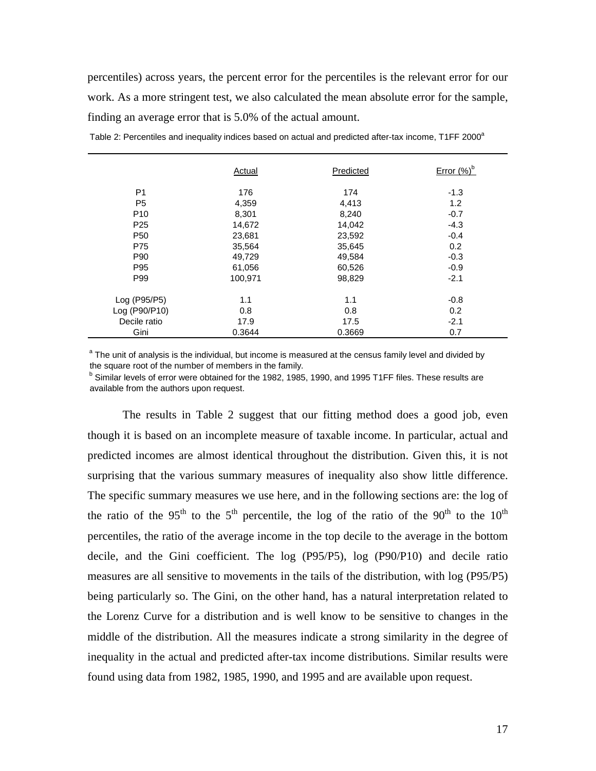percentiles) across years, the percent error for the percentiles is the relevant error for our work. As a more stringent test, we also calculated the mean absolute error for the sample, finding an average error that is 5.0% of the actual amount.

|                 | Actual  | Predicted | Error $(%)^b$ |
|-----------------|---------|-----------|---------------|
| P <sub>1</sub>  | 176     | 174       | $-1.3$        |
| P <sub>5</sub>  | 4,359   | 4,413     | 1.2           |
| P <sub>10</sub> | 8,301   | 8,240     | $-0.7$        |
| P <sub>25</sub> | 14,672  | 14,042    | $-4.3$        |
| P <sub>50</sub> | 23,681  | 23,592    | $-0.4$        |
| P75             | 35,564  | 35,645    | 0.2           |
| P90             | 49,729  | 49,584    | $-0.3$        |
| P95             | 61,056  | 60,526    | $-0.9$        |
| P99             | 100,971 | 98,829    | $-2.1$        |
| Log (P95/P5)    | 1.1     | 1.1       | $-0.8$        |
| Log (P90/P10)   | 0.8     | 0.8       | 0.2           |
| Decile ratio    | 17.9    | 17.5      | $-2.1$        |
| Gini            | 0.3644  | 0.3669    | 0.7           |

Table 2: Percentiles and inequality indices based on actual and predicted after-tax income, T1FF 2000<sup>a</sup>

<sup>a</sup> The unit of analysis is the individual, but income is measured at the census family level and divided by the square root of the number of members in the family.

<sup>b</sup> Similar levels of error were obtained for the 1982, 1985, 1990, and 1995 T1FF files. These results are available from the authors upon request.

The results in Table 2 suggest that our fitting method does a good job, even though it is based on an incomplete measure of taxable income. In particular, actual and predicted incomes are almost identical throughout the distribution. Given this, it is not surprising that the various summary measures of inequality also show little difference. The specific summary measures we use here, and in the following sections are: the log of the ratio of the 95<sup>th</sup> to the 5<sup>th</sup> percentile, the log of the ratio of the 90<sup>th</sup> to the 10<sup>th</sup> percentiles, the ratio of the average income in the top decile to the average in the bottom decile, and the Gini coefficient. The log (P95/P5), log (P90/P10) and decile ratio measures are all sensitive to movements in the tails of the distribution, with log (P95/P5) being particularly so. The Gini, on the other hand, has a natural interpretation related to the Lorenz Curve for a distribution and is well know to be sensitive to changes in the middle of the distribution. All the measures indicate a strong similarity in the degree of inequality in the actual and predicted after-tax income distributions. Similar results were found using data from 1982, 1985, 1990, and 1995 and are available upon request.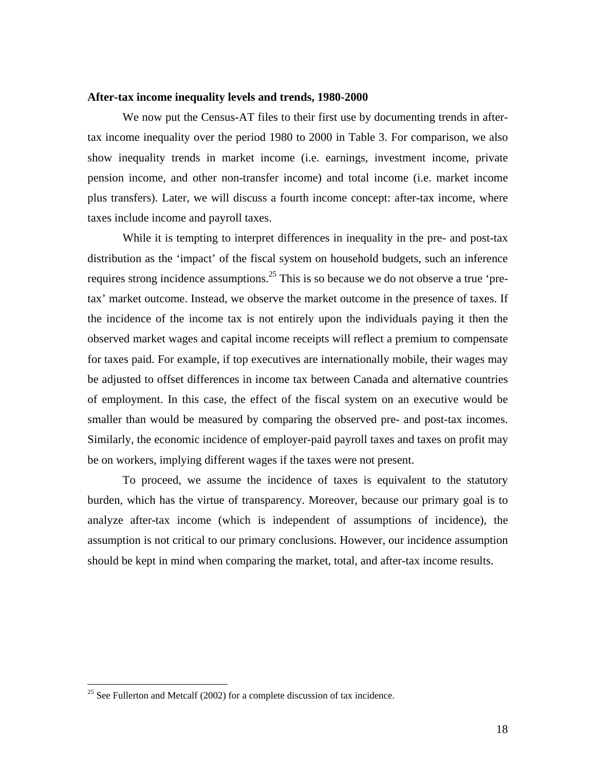### **After-tax income inequality levels and trends, 1980-2000**

We now put the Census-AT files to their first use by documenting trends in aftertax income inequality over the period 1980 to 2000 in Table 3. For comparison, we also show inequality trends in market income (i.e. earnings, investment income, private pension income, and other non-transfer income) and total income (i.e. market income plus transfers). Later, we will discuss a fourth income concept: after-tax income, where taxes include income and payroll taxes.

While it is tempting to interpret differences in inequality in the pre- and post-tax distribution as the 'impact' of the fiscal system on household budgets, such an inference requires strong incidence assumptions.<sup>25</sup> This is so because we do not observe a true 'pretax' market outcome. Instead, we observe the market outcome in the presence of taxes. If the incidence of the income tax is not entirely upon the individuals paying it then the observed market wages and capital income receipts will reflect a premium to compensate for taxes paid. For example, if top executives are internationally mobile, their wages may be adjusted to offset differences in income tax between Canada and alternative countries of employment. In this case, the effect of the fiscal system on an executive would be smaller than would be measured by comparing the observed pre- and post-tax incomes. Similarly, the economic incidence of employer-paid payroll taxes and taxes on profit may be on workers, implying different wages if the taxes were not present.

To proceed, we assume the incidence of taxes is equivalent to the statutory burden, which has the virtue of transparency. Moreover, because our primary goal is to analyze after-tax income (which is independent of assumptions of incidence), the assumption is not critical to our primary conclusions. However, our incidence assumption should be kept in mind when comparing the market, total, and after-tax income results.

<span id="page-17-0"></span> $25$  See Fullerton and Metcalf (2002) for a complete discussion of tax incidence.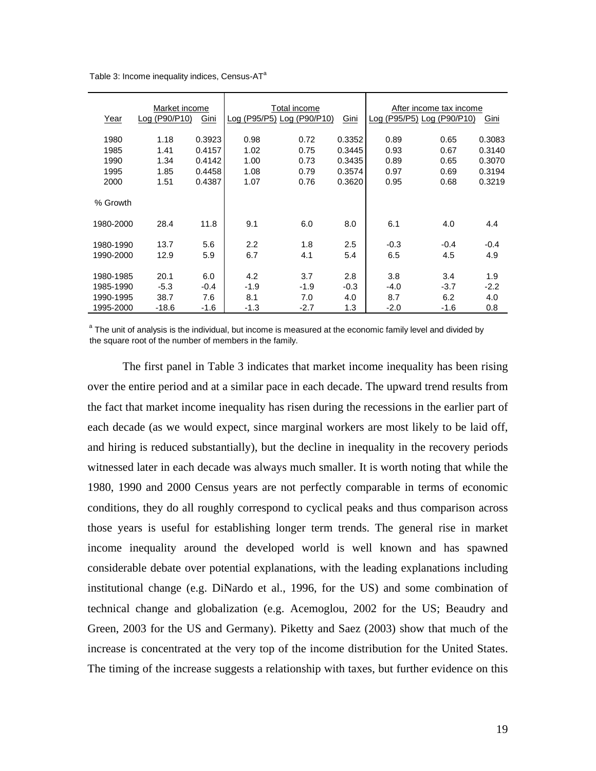|           | Market income |        | Total income |                            |        | After income tax income    |        |        |
|-----------|---------------|--------|--------------|----------------------------|--------|----------------------------|--------|--------|
| Year      | Log (P90/P10) | Gini   |              | Log (P95/P5) Log (P90/P10) | Gini   | Log (P95/P5) Log (P90/P10) |        | Gini   |
| 1980      | 1.18          | 0.3923 | 0.98         | 0.72                       | 0.3352 | 0.89                       | 0.65   | 0.3083 |
| 1985      | 1.41          | 0.4157 | 1.02         | 0.75                       | 0.3445 | 0.93                       | 0.67   | 0.3140 |
| 1990      | 1.34          | 0.4142 | 1.00         | 0.73                       | 0.3435 | 0.89                       | 0.65   | 0.3070 |
| 1995      | 1.85          | 0.4458 | 1.08         | 0.79                       | 0.3574 | 0.97                       | 0.69   | 0.3194 |
| 2000      | 1.51          | 0.4387 | 1.07         | 0.76                       | 0.3620 | 0.95                       | 0.68   | 0.3219 |
| % Growth  |               |        |              |                            |        |                            |        |        |
| 1980-2000 | 28.4          | 11.8   | 9.1          | 6.0                        | 8.0    | 6.1                        | 4.0    | 4.4    |
| 1980-1990 | 13.7          | 5.6    | 2.2          | 1.8                        | 2.5    | $-0.3$                     | $-0.4$ | $-0.4$ |
| 1990-2000 | 12.9          | 5.9    | 6.7          | 4.1                        | 5.4    | 6.5                        | 4.5    | 4.9    |
|           |               |        |              |                            |        |                            |        |        |
| 1980-1985 | 20.1          | 6.0    | 4.2          | 3.7                        | 2.8    | 3.8                        | 3.4    | 1.9    |
| 1985-1990 | $-5.3$        | $-0.4$ | $-1.9$       | $-1.9$                     | $-0.3$ | $-4.0$                     | $-3.7$ | $-2.2$ |
| 1990-1995 | 38.7          | 7.6    | 8.1          | 7.0                        | 4.0    | 8.7                        | 6.2    | 4.0    |
| 1995-2000 | $-18.6$       | $-1.6$ | $-1.3$       | $-2.7$                     | 1.3    | $-2.0$                     | $-1.6$ | 0.8    |

Table 3: Income inequality indices, Census- $AT^a$ 

<sup>a</sup> The unit of analysis is the individual, but income is measured at the economic family level and divided by the square root of the number of members in the family.

The first panel in Table 3 indicates that market income inequality has been rising over the entire period and at a similar pace in each decade. The upward trend results from the fact that market income inequality has risen during the recessions in the earlier part of each decade (as we would expect, since marginal workers are most likely to be laid off, and hiring is reduced substantially), but the decline in inequality in the recovery periods witnessed later in each decade was always much smaller. It is worth noting that while the 1980, 1990 and 2000 Census years are not perfectly comparable in terms of economic conditions, they do all roughly correspond to cyclical peaks and thus comparison across those years is useful for establishing longer term trends. The general rise in market income inequality around the developed world is well known and has spawned considerable debate over potential explanations, with the leading explanations including institutional change (e.g. DiNardo et al., 1996, for the US) and some combination of technical change and globalization (e.g. Acemoglou, 2002 for the US; Beaudry and Green, 2003 for the US and Germany). Piketty and Saez (2003) show that much of the increase is concentrated at the very top of the income distribution for the United States. The timing of the increase suggests a relationship with taxes, but further evidence on this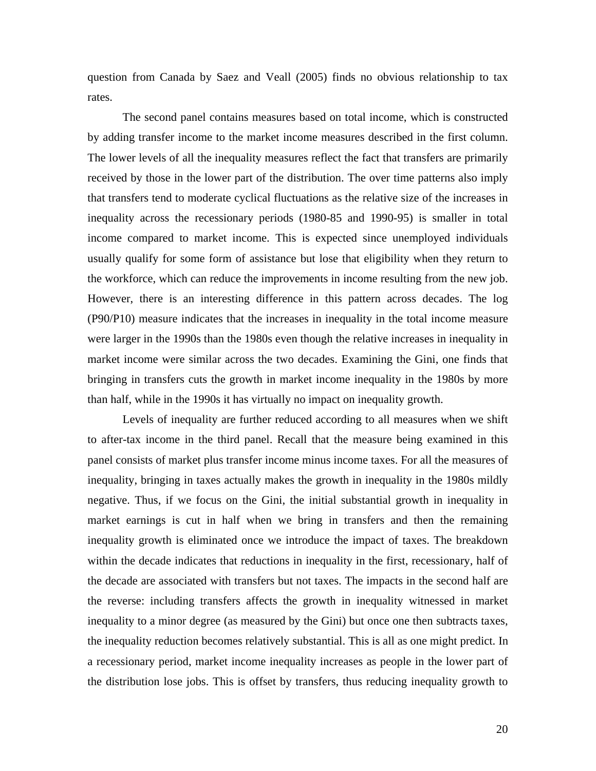question from Canada by Saez and Veall (2005) finds no obvious relationship to tax rates.

The second panel contains measures based on total income, which is constructed by adding transfer income to the market income measures described in the first column. The lower levels of all the inequality measures reflect the fact that transfers are primarily received by those in the lower part of the distribution. The over time patterns also imply that transfers tend to moderate cyclical fluctuations as the relative size of the increases in inequality across the recessionary periods (1980-85 and 1990-95) is smaller in total income compared to market income. This is expected since unemployed individuals usually qualify for some form of assistance but lose that eligibility when they return to the workforce, which can reduce the improvements in income resulting from the new job. However, there is an interesting difference in this pattern across decades. The log (P90/P10) measure indicates that the increases in inequality in the total income measure were larger in the 1990s than the 1980s even though the relative increases in inequality in market income were similar across the two decades. Examining the Gini, one finds that bringing in transfers cuts the growth in market income inequality in the 1980s by more than half, while in the 1990s it has virtually no impact on inequality growth.

Levels of inequality are further reduced according to all measures when we shift to after-tax income in the third panel. Recall that the measure being examined in this panel consists of market plus transfer income minus income taxes. For all the measures of inequality, bringing in taxes actually makes the growth in inequality in the 1980s mildly negative. Thus, if we focus on the Gini, the initial substantial growth in inequality in market earnings is cut in half when we bring in transfers and then the remaining inequality growth is eliminated once we introduce the impact of taxes. The breakdown within the decade indicates that reductions in inequality in the first, recessionary, half of the decade are associated with transfers but not taxes. The impacts in the second half are the reverse: including transfers affects the growth in inequality witnessed in market inequality to a minor degree (as measured by the Gini) but once one then subtracts taxes, the inequality reduction becomes relatively substantial. This is all as one might predict. In a recessionary period, market income inequality increases as people in the lower part of the distribution lose jobs. This is offset by transfers, thus reducing inequality growth to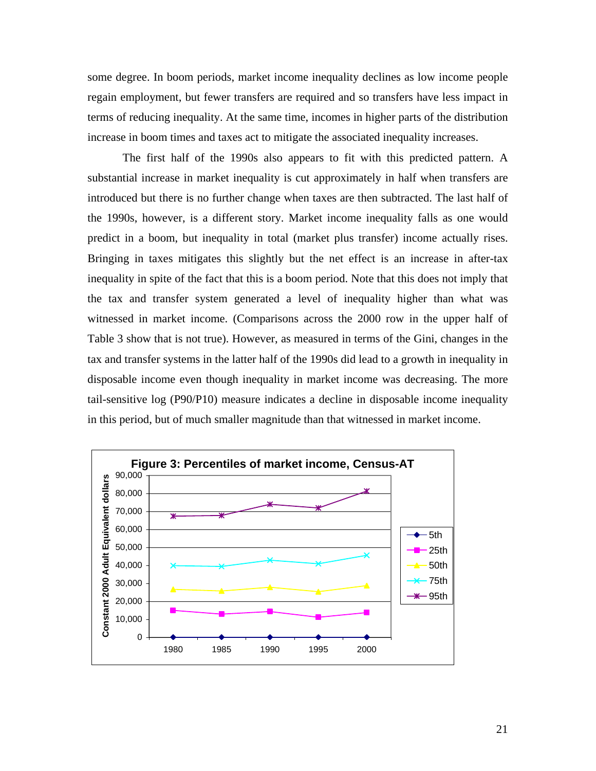some degree. In boom periods, market income inequality declines as low income people regain employment, but fewer transfers are required and so transfers have less impact in terms of reducing inequality. At the same time, incomes in higher parts of the distribution increase in boom times and taxes act to mitigate the associated inequality increases.

The first half of the 1990s also appears to fit with this predicted pattern. A substantial increase in market inequality is cut approximately in half when transfers are introduced but there is no further change when taxes are then subtracted. The last half of the 1990s, however, is a different story. Market income inequality falls as one would predict in a boom, but inequality in total (market plus transfer) income actually rises. Bringing in taxes mitigates this slightly but the net effect is an increase in after-tax inequality in spite of the fact that this is a boom period. Note that this does not imply that the tax and transfer system generated a level of inequality higher than what was witnessed in market income. (Comparisons across the 2000 row in the upper half of Table 3 show that is not true). However, as measured in terms of the Gini, changes in the tax and transfer systems in the latter half of the 1990s did lead to a growth in inequality in disposable income even though inequality in market income was decreasing. The more tail-sensitive log (P90/P10) measure indicates a decline in disposable income inequality in this period, but of much smaller magnitude than that witnessed in market income.

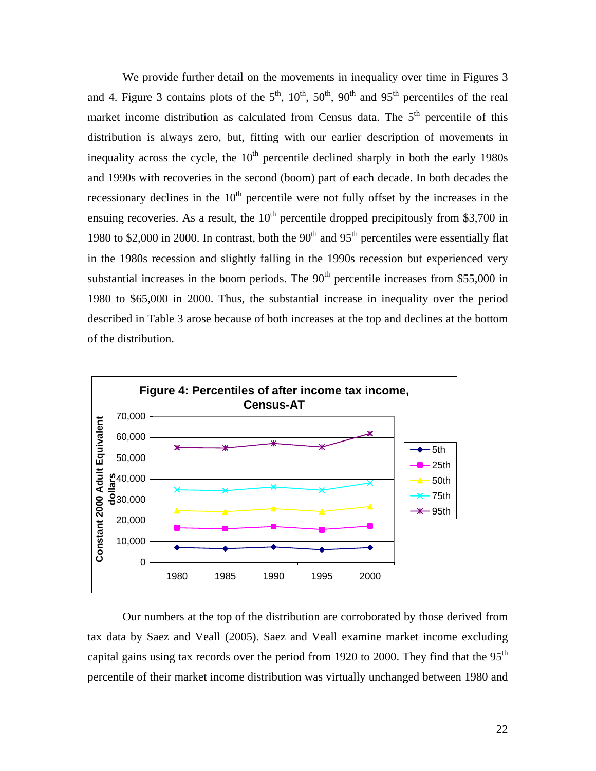We provide further detail on the movements in inequality over time in Figures 3 and 4. Figure 3 contains plots of the  $5<sup>th</sup>$ ,  $10<sup>th</sup>$ ,  $50<sup>th</sup>$ ,  $90<sup>th</sup>$  and  $95<sup>th</sup>$  percentiles of the real market income distribution as calculated from Census data. The  $5<sup>th</sup>$  percentile of this distribution is always zero, but, fitting with our earlier description of movements in inequality across the cycle, the  $10<sup>th</sup>$  percentile declined sharply in both the early 1980s and 1990s with recoveries in the second (boom) part of each decade. In both decades the recessionary declines in the  $10<sup>th</sup>$  percentile were not fully offset by the increases in the ensuing recoveries. As a result, the  $10<sup>th</sup>$  percentile dropped precipitously from \$3,700 in 1980 to \$2,000 in 2000. In contrast, both the  $90<sup>th</sup>$  and  $95<sup>th</sup>$  percentiles were essentially flat in the 1980s recession and slightly falling in the 1990s recession but experienced very substantial increases in the boom periods. The  $90<sup>th</sup>$  percentile increases from \$55,000 in 1980 to \$65,000 in 2000. Thus, the substantial increase in inequality over the period described in Table 3 arose because of both increases at the top and declines at the bottom of the distribution.



Our numbers at the top of the distribution are corroborated by those derived from tax data by Saez and Veall (2005). Saez and Veall examine market income excluding capital gains using tax records over the period from 1920 to 2000. They find that the  $95<sup>th</sup>$ percentile of their market income distribution was virtually unchanged between 1980 and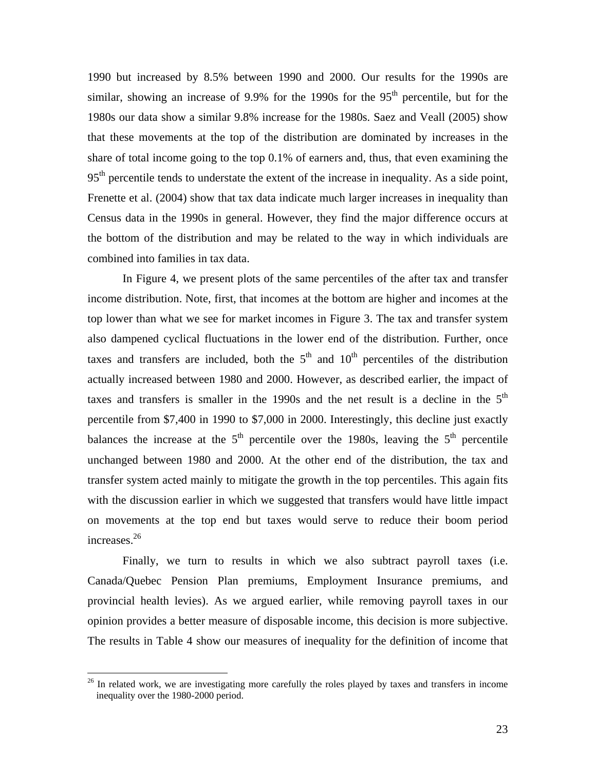1990 but increased by 8.5% between 1990 and 2000. Our results for the 1990s are similar, showing an increase of 9.9% for the 1990s for the  $95<sup>th</sup>$  percentile, but for the 1980s our data show a similar 9.8% increase for the 1980s. Saez and Veall (2005) show that these movements at the top of the distribution are dominated by increases in the share of total income going to the top 0.1% of earners and, thus, that even examining the 95<sup>th</sup> percentile tends to understate the extent of the increase in inequality. As a side point, Frenette et al. (2004) show that tax data indicate much larger increases in inequality than Census data in the 1990s in general. However, they find the major difference occurs at the bottom of the distribution and may be related to the way in which individuals are combined into families in tax data.

In Figure 4, we present plots of the same percentiles of the after tax and transfer income distribution. Note, first, that incomes at the bottom are higher and incomes at the top lower than what we see for market incomes in Figure 3. The tax and transfer system also dampened cyclical fluctuations in the lower end of the distribution. Further, once taxes and transfers are included, both the  $5<sup>th</sup>$  and  $10<sup>th</sup>$  percentiles of the distribution actually increased between 1980 and 2000. However, as described earlier, the impact of taxes and transfers is smaller in the  $1990s$  and the net result is a decline in the  $5<sup>th</sup>$ percentile from \$7,400 in 1990 to \$7,000 in 2000. Interestingly, this decline just exactly balances the increase at the  $5<sup>th</sup>$  percentile over the 1980s, leaving the  $5<sup>th</sup>$  percentile unchanged between 1980 and 2000. At the other end of the distribution, the tax and transfer system acted mainly to mitigate the growth in the top percentiles. This again fits with the discussion earlier in which we suggested that transfers would have little impact on movements at the top end but taxes would serve to reduce their boom period increases.<sup>26</sup>

Finally, we turn to results in which we also subtract payroll taxes (i.e. Canada/Quebec Pension Plan premiums, Employment Insurance premiums, and provincial health levies). As we argued earlier, while removing payroll taxes in our opinion provides a better measure of disposable income, this decision is more subjective. The results in Table 4 show our measures of inequality for the definition of income that

<span id="page-22-0"></span><sup>&</sup>lt;sup>26</sup> In related work, we are investigating more carefully the roles played by taxes and transfers in income inequality over the 1980-2000 period.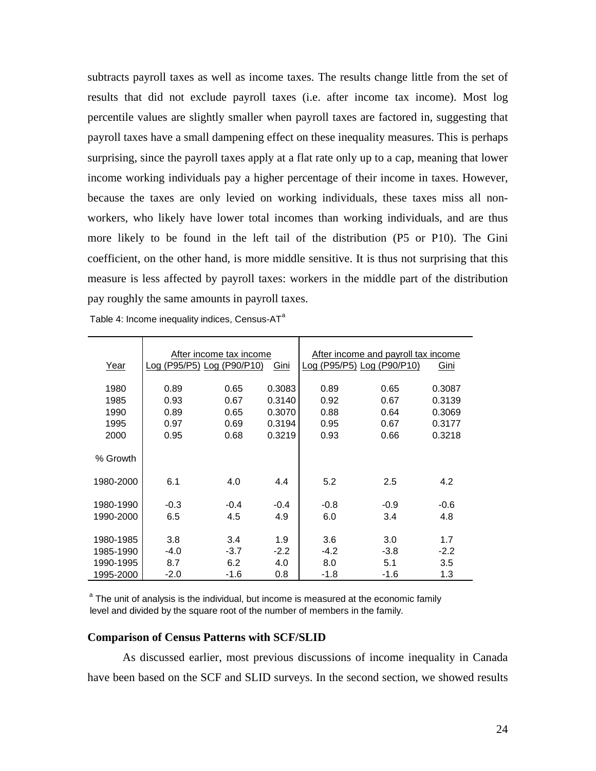subtracts payroll taxes as well as income taxes. The results change little from the set of results that did not exclude payroll taxes (i.e. after income tax income). Most log percentile values are slightly smaller when payroll taxes are factored in, suggesting that payroll taxes have a small dampening effect on these inequality measures. This is perhaps surprising, since the payroll taxes apply at a flat rate only up to a cap, meaning that lower income working individuals pay a higher percentage of their income in taxes. However, because the taxes are only levied on working individuals, these taxes miss all nonworkers, who likely have lower total incomes than working individuals, and are thus more likely to be found in the left tail of the distribution (P5 or P10). The Gini coefficient, on the other hand, is more middle sensitive. It is thus not surprising that this measure is less affected by payroll taxes: workers in the middle part of the distribution pay roughly the same amounts in payroll taxes.

|           |                            | After income tax income |        | After income and payroll tax income |        |        |  |
|-----------|----------------------------|-------------------------|--------|-------------------------------------|--------|--------|--|
| Year      | Log (P95/P5) Log (P90/P10) |                         | Gini   | Log (P95/P5) Log (P90/P10)          |        | Gini   |  |
| 1980      | 0.89                       | 0.65                    | 0.3083 | 0.89                                | 0.65   | 0.3087 |  |
| 1985      | 0.93                       | 0.67                    | 0.3140 | 0.92                                | 0.67   | 0.3139 |  |
| 1990      | 0.89                       | 0.65                    | 0.3070 | 0.88                                | 0.64   | 0.3069 |  |
| 1995      | 0.97                       | 0.69                    | 0.3194 | 0.95                                | 0.67   | 0.3177 |  |
| 2000      | 0.95                       | 0.68                    | 0.3219 | 0.93                                | 0.66   | 0.3218 |  |
| % Growth  |                            |                         |        |                                     |        |        |  |
| 1980-2000 | 6.1                        | 4.0                     | 4.4    | 5.2                                 | 2.5    | 4.2    |  |
| 1980-1990 | $-0.3$                     | $-0.4$                  | $-0.4$ | $-0.8$                              | $-0.9$ | -0.6   |  |
| 1990-2000 | 6.5                        | 4.5                     | 4.9    | 6.0                                 | 3.4    | 4.8    |  |
|           |                            |                         |        |                                     |        |        |  |
| 1980-1985 | 3.8                        | 3.4                     | 1.9    | 3.6                                 | 3.0    | 1.7    |  |
| 1985-1990 | -4.0                       | $-3.7$                  | $-2.2$ | $-4.2$                              | $-3.8$ | $-2.2$ |  |
| 1990-1995 | 8.7                        | 6.2                     | 4.0    | 8.0                                 | 5.1    | 3.5    |  |
| 1995-2000 | $-2.0$                     | -1.6                    | 0.8    | -1.8                                | -1.6   | 1.3    |  |

Table 4: Income inequality indices, Census- $AT^a$ 

<sup>a</sup> The unit of analysis is the individual, but income is measured at the economic family level and divided by the square root of the number of members in the family.

#### **Comparison of Census Patterns with SCF/SLID**

As discussed earlier, most previous discussions of income inequality in Canada have been based on the SCF and SLID surveys. In the second section, we showed results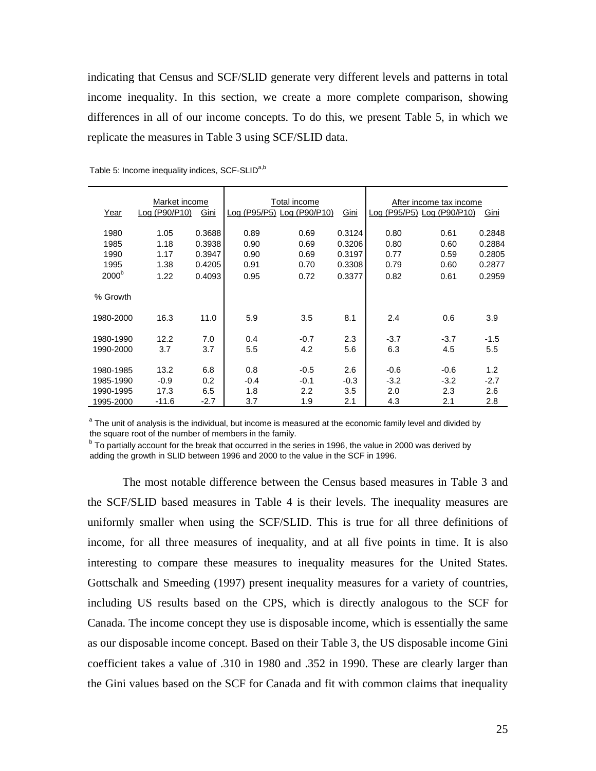indicating that Census and SCF/SLID generate very different levels and patterns in total income inequality. In this section, we create a more complete comparison, showing differences in all of our income concepts. To do this, we present Table 5, in which we replicate the measures in Table 3 using SCF/SLID data.

|                   | Market income |        | Total income |                            |        | After income tax income    |        |        |
|-------------------|---------------|--------|--------------|----------------------------|--------|----------------------------|--------|--------|
| Year              | Log (P90/P10) | Gini   |              | Log (P95/P5) Log (P90/P10) | Gini   | Log (P95/P5) Log (P90/P10) |        | Gini   |
| 1980              | 1.05          | 0.3688 | 0.89         | 0.69                       | 0.3124 | 0.80                       | 0.61   | 0.2848 |
| 1985              | 1.18          | 0.3938 | 0.90         | 0.69                       | 0.3206 | 0.80                       | 0.60   | 0.2884 |
| 1990              | 1.17          | 0.3947 | 0.90         | 0.69                       | 0.3197 | 0.77                       | 0.59   | 0.2805 |
| 1995              | 1.38          | 0.4205 | 0.91         | 0.70                       | 0.3308 | 0.79                       | 0.60   | 0.2877 |
| 2000 <sup>b</sup> | 1.22          | 0.4093 | 0.95         | 0.72                       | 0.3377 | 0.82                       | 0.61   | 0.2959 |
| % Growth          |               |        |              |                            |        |                            |        |        |
| 1980-2000         | 16.3          | 11.0   | 5.9          | 3.5                        | 8.1    | 2.4                        | 0.6    | 3.9    |
| 1980-1990         | 12.2          | 7.0    | 0.4          | $-0.7$                     | 2.3    | $-3.7$                     | $-3.7$ | $-1.5$ |
| 1990-2000         | 3.7           | 3.7    | 5.5          | 4.2                        | 5.6    | 6.3                        | 4.5    | 5.5    |
| 1980-1985         | 13.2          | 6.8    | 0.8          | $-0.5$                     | 2.6    | $-0.6$                     | $-0.6$ | 1.2    |
| 1985-1990         | $-0.9$        | 0.2    | $-0.4$       | $-0.1$                     | $-0.3$ | $-3.2$                     | $-3.2$ | $-2.7$ |
| 1990-1995         | 17.3          | 6.5    | 1.8          | $2.2\phantom{0}$           | 3.5    | 2.0                        | 2.3    | 2.6    |
| 1995-2000         | $-11.6$       | $-2.7$ | 3.7          | 1.9                        | 2.1    | 4.3                        | 2.1    | 2.8    |

Table 5: Income inequality indices, SCF-SLID<sup>a,b</sup>

<sup>a</sup> The unit of analysis is the individual, but income is measured at the economic family level and divided by the square root of the number of members in the family.

<sup>b</sup> To partially account for the break that occurred in the series in 1996, the value in 2000 was derived by adding the growth in SLID between 1996 and 2000 to the value in the SCF in 1996.

The most notable difference between the Census based measures in Table 3 and the SCF/SLID based measures in Table 4 is their levels. The inequality measures are uniformly smaller when using the SCF/SLID. This is true for all three definitions of income, for all three measures of inequality, and at all five points in time. It is also interesting to compare these measures to inequality measures for the United States. Gottschalk and Smeeding (1997) present inequality measures for a variety of countries, including US results based on the CPS, which is directly analogous to the SCF for Canada. The income concept they use is disposable income, which is essentially the same as our disposable income concept. Based on their Table 3, the US disposable income Gini coefficient takes a value of .310 in 1980 and .352 in 1990. These are clearly larger than the Gini values based on the SCF for Canada and fit with common claims that inequality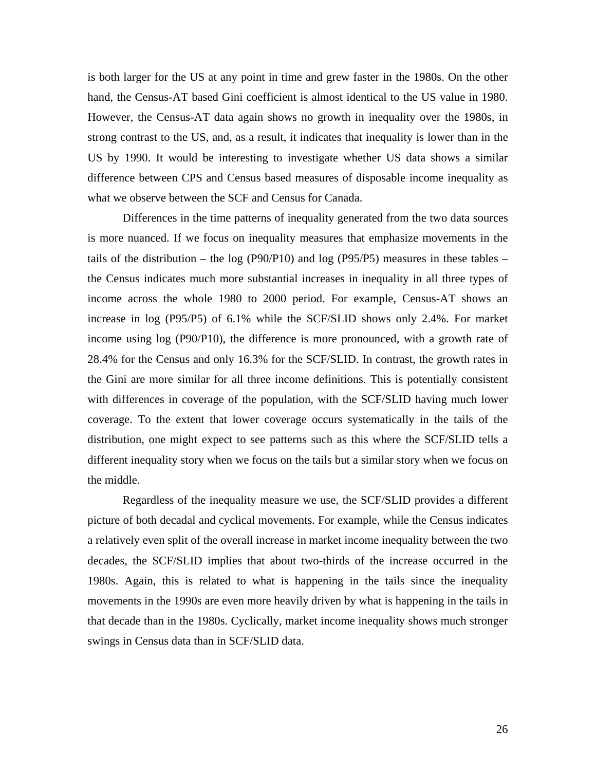is both larger for the US at any point in time and grew faster in the 1980s. On the other hand, the Census-AT based Gini coefficient is almost identical to the US value in 1980. However, the Census-AT data again shows no growth in inequality over the 1980s, in strong contrast to the US, and, as a result, it indicates that inequality is lower than in the US by 1990. It would be interesting to investigate whether US data shows a similar difference between CPS and Census based measures of disposable income inequality as what we observe between the SCF and Census for Canada.

Differences in the time patterns of inequality generated from the two data sources is more nuanced. If we focus on inequality measures that emphasize movements in the tails of the distribution – the log (P90/P10) and log (P95/P5) measures in these tables – the Census indicates much more substantial increases in inequality in all three types of income across the whole 1980 to 2000 period. For example, Census-AT shows an increase in log (P95/P5) of 6.1% while the SCF/SLID shows only 2.4%. For market income using log (P90/P10), the difference is more pronounced, with a growth rate of 28.4% for the Census and only 16.3% for the SCF/SLID. In contrast, the growth rates in the Gini are more similar for all three income definitions. This is potentially consistent with differences in coverage of the population, with the SCF/SLID having much lower coverage. To the extent that lower coverage occurs systematically in the tails of the distribution, one might expect to see patterns such as this where the SCF/SLID tells a different inequality story when we focus on the tails but a similar story when we focus on the middle.

Regardless of the inequality measure we use, the SCF/SLID provides a different picture of both decadal and cyclical movements. For example, while the Census indicates a relatively even split of the overall increase in market income inequality between the two decades, the SCF/SLID implies that about two-thirds of the increase occurred in the 1980s. Again, this is related to what is happening in the tails since the inequality movements in the 1990s are even more heavily driven by what is happening in the tails in that decade than in the 1980s. Cyclically, market income inequality shows much stronger swings in Census data than in SCF/SLID data.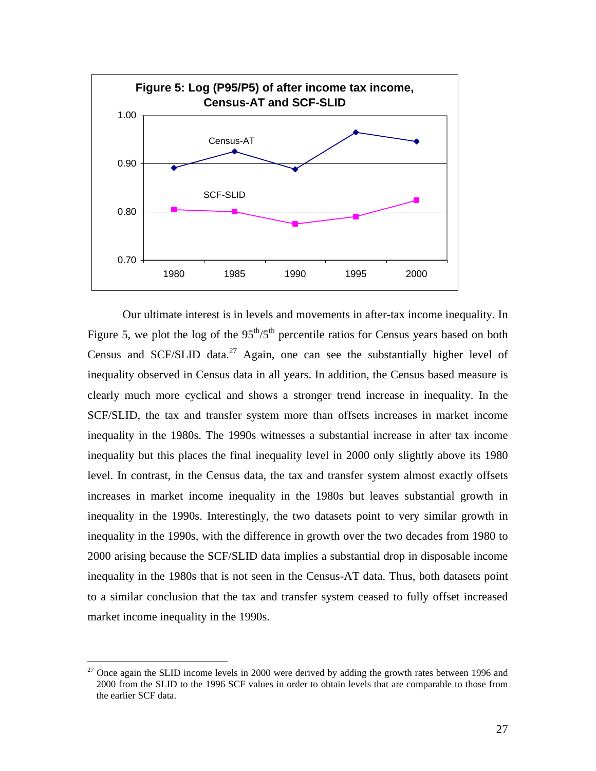

Our ultimate interest is in levels and movements in after-tax income inequality. In Figure 5, we plot the log of the  $95<sup>th</sup>/5<sup>th</sup>$  percentile ratios for Census years based on both Census and SCF/SLID data.<sup>27</sup> Again, one can see the substantially higher level of inequality observed in Census data in all years. In addition, the Census based measure is clearly much more cyclical and shows a stronger trend increase in inequality. In the SCF/SLID, the tax and transfer system more than offsets increases in market income inequality in the 1980s. The 1990s witnesses a substantial increase in after tax income inequality but this places the final inequality level in 2000 only slightly above its 1980 level. In contrast, in the Census data, the tax and transfer system almost exactly offsets increases in market income inequality in the 1980s but leaves substantial growth in inequality in the 1990s. Interestingly, the two datasets point to very similar growth in inequality in the 1990s, with the difference in growth over the two decades from 1980 to 2000 arising because the SCF/SLID data implies a substantial drop in disposable income inequality in the 1980s that is not seen in the Census-AT data. Thus, both datasets point to a similar conclusion that the tax and transfer system ceased to fully offset increased market income inequality in the 1990s.

<span id="page-26-0"></span> $27$  Once again the SLID income levels in 2000 were derived by adding the growth rates between 1996 and 2000 from the SLID to the 1996 SCF values in order to obtain levels that are comparable to those from the earlier SCF data.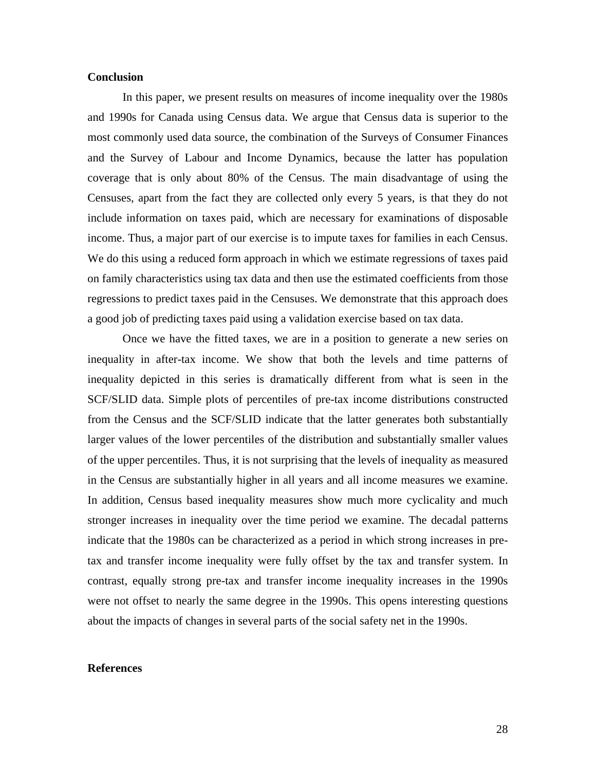# **Conclusion**

In this paper, we present results on measures of income inequality over the 1980s and 1990s for Canada using Census data. We argue that Census data is superior to the most commonly used data source, the combination of the Surveys of Consumer Finances and the Survey of Labour and Income Dynamics, because the latter has population coverage that is only about 80% of the Census. The main disadvantage of using the Censuses, apart from the fact they are collected only every 5 years, is that they do not include information on taxes paid, which are necessary for examinations of disposable income. Thus, a major part of our exercise is to impute taxes for families in each Census. We do this using a reduced form approach in which we estimate regressions of taxes paid on family characteristics using tax data and then use the estimated coefficients from those regressions to predict taxes paid in the Censuses. We demonstrate that this approach does a good job of predicting taxes paid using a validation exercise based on tax data.

Once we have the fitted taxes, we are in a position to generate a new series on inequality in after-tax income. We show that both the levels and time patterns of inequality depicted in this series is dramatically different from what is seen in the SCF/SLID data. Simple plots of percentiles of pre-tax income distributions constructed from the Census and the SCF/SLID indicate that the latter generates both substantially larger values of the lower percentiles of the distribution and substantially smaller values of the upper percentiles. Thus, it is not surprising that the levels of inequality as measured in the Census are substantially higher in all years and all income measures we examine. In addition, Census based inequality measures show much more cyclicality and much stronger increases in inequality over the time period we examine. The decadal patterns indicate that the 1980s can be characterized as a period in which strong increases in pretax and transfer income inequality were fully offset by the tax and transfer system. In contrast, equally strong pre-tax and transfer income inequality increases in the 1990s were not offset to nearly the same degree in the 1990s. This opens interesting questions about the impacts of changes in several parts of the social safety net in the 1990s.

#### **References**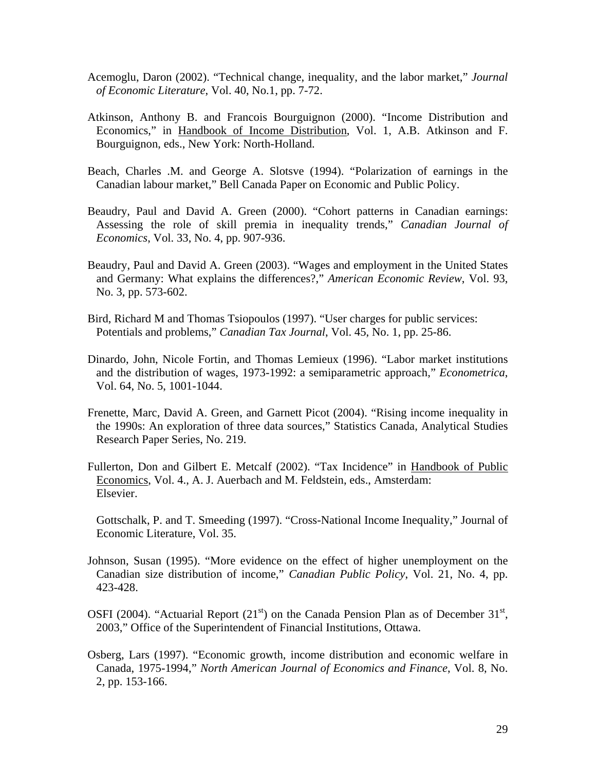- Acemoglu, Daron (2002). "Technical change, inequality, and the labor market," *Journal of Economic Literature*, Vol. 40, No.1, pp. 7-72.
- Atkinson, Anthony B. and Francois Bourguignon (2000). "Income Distribution and Economics," in Handbook of Income Distribution, Vol. 1, A.B. Atkinson and F. Bourguignon, eds., New York: North-Holland.
- Beach, Charles .M. and George A. Slotsve (1994). "Polarization of earnings in the Canadian labour market," Bell Canada Paper on Economic and Public Policy.
- Beaudry, Paul and David A. Green (2000). "Cohort patterns in Canadian earnings: Assessing the role of skill premia in inequality trends," *Canadian Journal of Economics*, Vol. 33, No. 4, pp. 907-936.
- Beaudry, Paul and David A. Green (2003). "Wages and employment in the United States and Germany: What explains the differences?," *American Economic Review*, Vol. 93, No. 3, pp. 573-602.
- Bird, Richard M and Thomas Tsiopoulos (1997). "User charges for public services: Potentials and problems," *Canadian Tax Journal*, Vol. 45, No. 1, pp. 25-86.
- Dinardo, John, Nicole Fortin, and Thomas Lemieux (1996). "Labor market institutions and the distribution of wages, 1973-1992: a semiparametric approach," *Econometrica*, Vol. 64, No. 5, 1001-1044.
- Frenette, Marc, David A. Green, and Garnett Picot (2004). "Rising income inequality in the 1990s: An exploration of three data sources," Statistics Canada, Analytical Studies Research Paper Series, No. 219.
- Fullerton, Don and Gilbert E. Metcalf (2002). "Tax Incidence" in Handbook of Public Economics, Vol. 4., A. J. Auerbach and M. Feldstein, eds., Amsterdam: Elsevier.
	- Gottschalk, P. and T. Smeeding (1997). "Cross-National Income Inequality," Journal of Economic Literature, Vol. 35.
- Johnson, Susan (1995). "More evidence on the effect of higher unemployment on the Canadian size distribution of income," *Canadian Public Policy*, Vol. 21, No. 4, pp. 423-428.
- OSFI (2004). "Actuarial Report (21<sup>st</sup>) on the Canada Pension Plan as of December  $31<sup>st</sup>$ , 2003," Office of the Superintendent of Financial Institutions, Ottawa.
- Osberg, Lars (1997). "Economic growth, income distribution and economic welfare in Canada, 1975-1994," *North American Journal of Economics and Finance*, Vol. 8, No. 2, pp. 153-166.